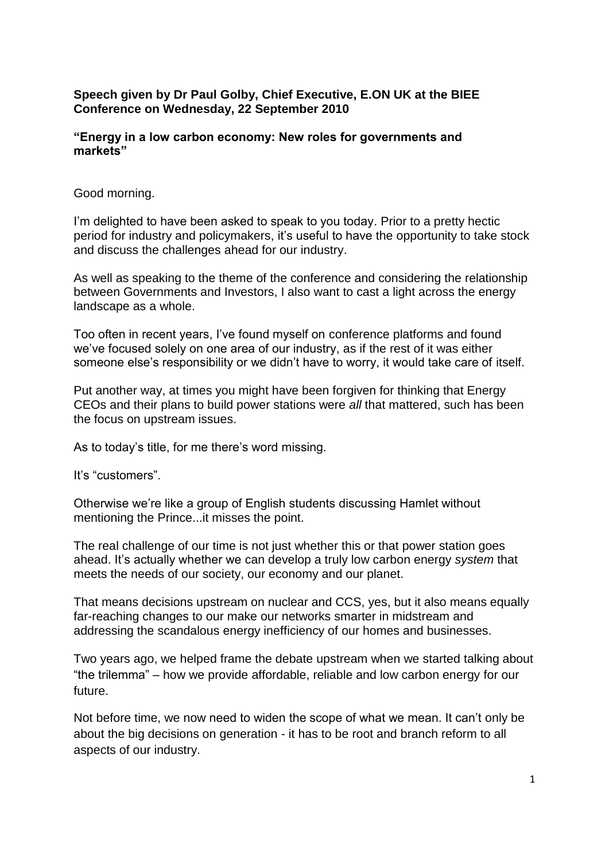### **Speech given by Dr Paul Golby, Chief Executive, E.ON UK at the BIEE Conference on Wednesday, 22 September 2010**

#### **"Energy in a low carbon economy: New roles for governments and markets"**

#### Good morning.

I"m delighted to have been asked to speak to you today. Prior to a pretty hectic period for industry and policymakers, it"s useful to have the opportunity to take stock and discuss the challenges ahead for our industry.

As well as speaking to the theme of the conference and considering the relationship between Governments and Investors, I also want to cast a light across the energy landscape as a whole.

Too often in recent years, I"ve found myself on conference platforms and found we"ve focused solely on one area of our industry, as if the rest of it was either someone else's responsibility or we didn't have to worry, it would take care of itself.

Put another way, at times you might have been forgiven for thinking that Energy CEOs and their plans to build power stations were *all* that mattered, such has been the focus on upstream issues.

As to today"s title, for me there"s word missing.

It's "customers".

Otherwise we"re like a group of English students discussing Hamlet without mentioning the Prince...it misses the point.

The real challenge of our time is not just whether this or that power station goes ahead. It"s actually whether we can develop a truly low carbon energy *system* that meets the needs of our society, our economy and our planet.

That means decisions upstream on nuclear and CCS, yes, but it also means equally far-reaching changes to our make our networks smarter in midstream and addressing the scandalous energy inefficiency of our homes and businesses.

Two years ago, we helped frame the debate upstream when we started talking about "the trilemma" – how we provide affordable, reliable and low carbon energy for our future.

Not before time, we now need to widen the scope of what we mean. It can"t only be about the big decisions on generation - it has to be root and branch reform to all aspects of our industry.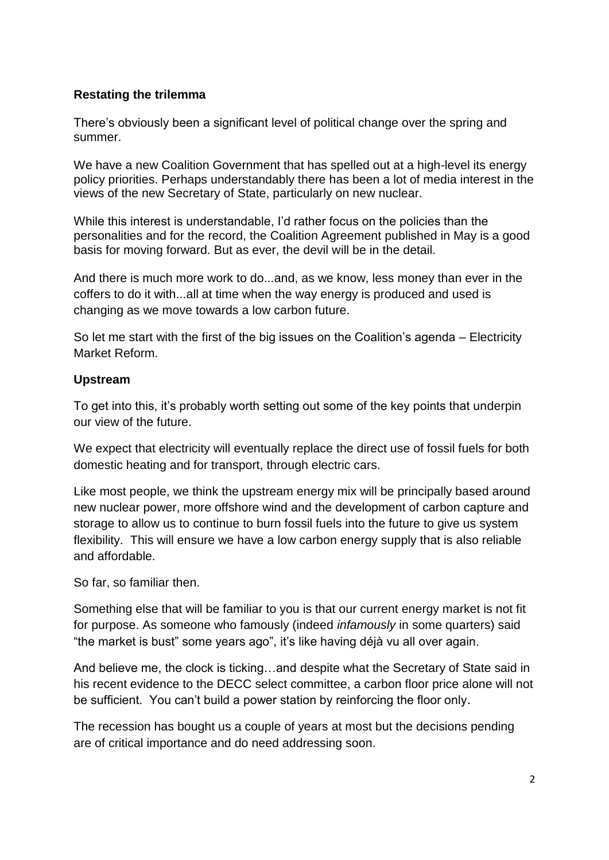## **Restating the trilemma**

There"s obviously been a significant level of political change over the spring and summer.

We have a new Coalition Government that has spelled out at a high-level its energy policy priorities. Perhaps understandably there has been a lot of media interest in the views of the new Secretary of State, particularly on new nuclear.

While this interest is understandable, I"d rather focus on the policies than the personalities and for the record, the Coalition Agreement published in May is a good basis for moving forward. But as ever, the devil will be in the detail.

And there is much more work to do...and, as we know, less money than ever in the coffers to do it with...all at time when the way energy is produced and used is changing as we move towards a low carbon future.

So let me start with the first of the big issues on the Coalition's agenda – Electricity Market Reform.

#### **Upstream**

To get into this, it"s probably worth setting out some of the key points that underpin our view of the future.

We expect that electricity will eventually replace the direct use of fossil fuels for both domestic heating and for transport, through electric cars.

Like most people, we think the upstream energy mix will be principally based around new nuclear power, more offshore wind and the development of carbon capture and storage to allow us to continue to burn fossil fuels into the future to give us system flexibility. This will ensure we have a low carbon energy supply that is also reliable and affordable.

So far, so familiar then.

Something else that will be familiar to you is that our current energy market is not fit for purpose. As someone who famously (indeed *infamously* in some quarters) said "the market is bust" some years ago", it"s like having déjà vu all over again.

And believe me, the clock is ticking…and despite what the Secretary of State said in his recent evidence to the DECC select committee, a carbon floor price alone will not be sufficient. You can"t build a power station by reinforcing the floor only.

The recession has bought us a couple of years at most but the decisions pending are of critical importance and do need addressing soon.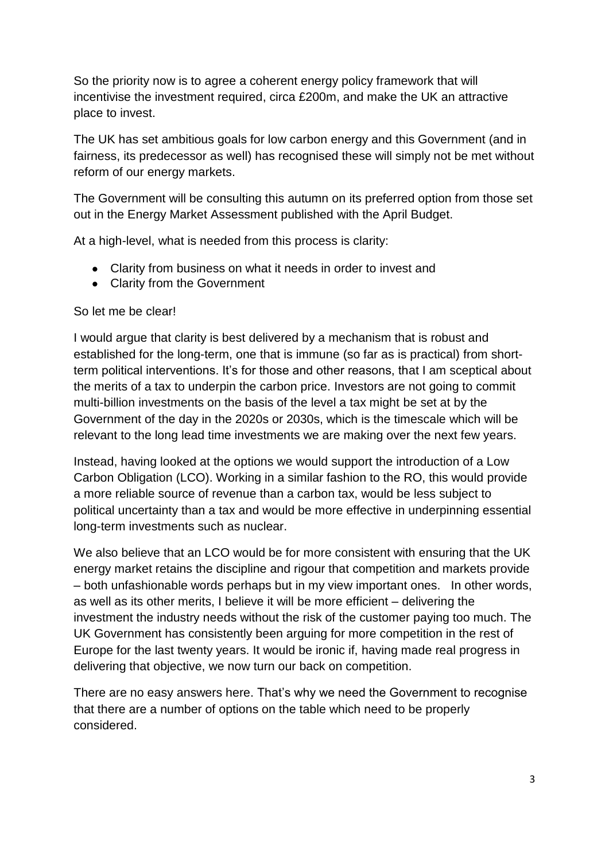So the priority now is to agree a coherent energy policy framework that will incentivise the investment required, circa £200m, and make the UK an attractive place to invest.

The UK has set ambitious goals for low carbon energy and this Government (and in fairness, its predecessor as well) has recognised these will simply not be met without reform of our energy markets.

The Government will be consulting this autumn on its preferred option from those set out in the Energy Market Assessment published with the April Budget.

At a high-level, what is needed from this process is clarity:

- Clarity from business on what it needs in order to invest and
- Clarity from the Government

# So let me be clear!

I would argue that clarity is best delivered by a mechanism that is robust and established for the long-term, one that is immune (so far as is practical) from shortterm political interventions. It's for those and other reasons, that I am sceptical about the merits of a tax to underpin the carbon price. Investors are not going to commit multi-billion investments on the basis of the level a tax might be set at by the Government of the day in the 2020s or 2030s, which is the timescale which will be relevant to the long lead time investments we are making over the next few years.

Instead, having looked at the options we would support the introduction of a Low Carbon Obligation (LCO). Working in a similar fashion to the RO, this would provide a more reliable source of revenue than a carbon tax, would be less subject to political uncertainty than a tax and would be more effective in underpinning essential long-term investments such as nuclear.

We also believe that an LCO would be for more consistent with ensuring that the UK energy market retains the discipline and rigour that competition and markets provide – both unfashionable words perhaps but in my view important ones. In other words, as well as its other merits, I believe it will be more efficient – delivering the investment the industry needs without the risk of the customer paying too much. The UK Government has consistently been arguing for more competition in the rest of Europe for the last twenty years. It would be ironic if, having made real progress in delivering that objective, we now turn our back on competition.

There are no easy answers here. That"s why we need the Government to recognise that there are a number of options on the table which need to be properly considered.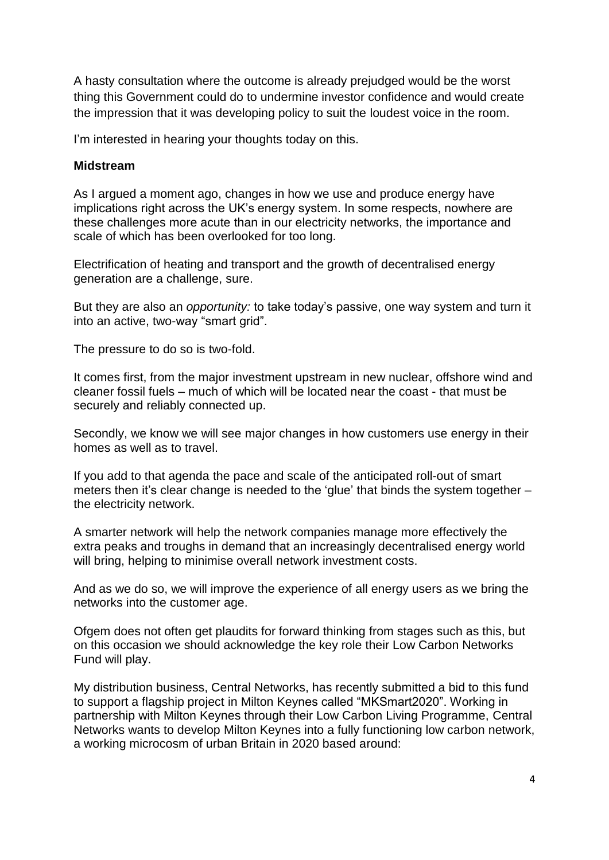A hasty consultation where the outcome is already prejudged would be the worst thing this Government could do to undermine investor confidence and would create the impression that it was developing policy to suit the loudest voice in the room.

I'm interested in hearing your thoughts today on this.

#### **Midstream**

As I argued a moment ago, changes in how we use and produce energy have implications right across the UK's energy system. In some respects, nowhere are these challenges more acute than in our electricity networks, the importance and scale of which has been overlooked for too long.

Electrification of heating and transport and the growth of decentralised energy generation are a challenge, sure.

But they are also an *opportunity:* to take today"s passive, one way system and turn it into an active, two-way "smart grid".

The pressure to do so is two-fold.

It comes first, from the major investment upstream in new nuclear, offshore wind and cleaner fossil fuels – much of which will be located near the coast - that must be securely and reliably connected up.

Secondly, we know we will see major changes in how customers use energy in their homes as well as to travel.

If you add to that agenda the pace and scale of the anticipated roll-out of smart meters then it's clear change is needed to the 'glue' that binds the system together – the electricity network.

A smarter network will help the network companies manage more effectively the extra peaks and troughs in demand that an increasingly decentralised energy world will bring, helping to minimise overall network investment costs.

And as we do so, we will improve the experience of all energy users as we bring the networks into the customer age.

Ofgem does not often get plaudits for forward thinking from stages such as this, but on this occasion we should acknowledge the key role their Low Carbon Networks Fund will play.

My distribution business, Central Networks, has recently submitted a bid to this fund to support a flagship project in Milton Keynes called "MKSmart2020". Working in partnership with Milton Keynes through their Low Carbon Living Programme, Central Networks wants to develop Milton Keynes into a fully functioning low carbon network, a working microcosm of urban Britain in 2020 based around: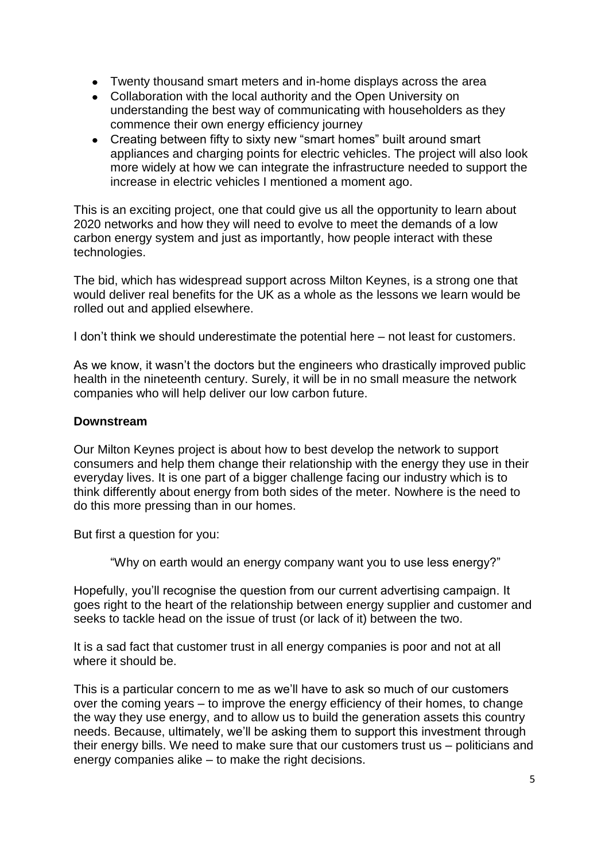- Twenty thousand smart meters and in-home displays across the area
- Collaboration with the local authority and the Open University on understanding the best way of communicating with householders as they commence their own energy efficiency journey
- $\bullet$ Creating between fifty to sixty new "smart homes" built around smart appliances and charging points for electric vehicles. The project will also look more widely at how we can integrate the infrastructure needed to support the increase in electric vehicles I mentioned a moment ago.

This is an exciting project, one that could give us all the opportunity to learn about 2020 networks and how they will need to evolve to meet the demands of a low carbon energy system and just as importantly, how people interact with these technologies.

The bid, which has widespread support across Milton Keynes, is a strong one that would deliver real benefits for the UK as a whole as the lessons we learn would be rolled out and applied elsewhere.

I don"t think we should underestimate the potential here – not least for customers.

As we know, it wasn"t the doctors but the engineers who drastically improved public health in the nineteenth century. Surely, it will be in no small measure the network companies who will help deliver our low carbon future.

#### **Downstream**

Our Milton Keynes project is about how to best develop the network to support consumers and help them change their relationship with the energy they use in their everyday lives. It is one part of a bigger challenge facing our industry which is to think differently about energy from both sides of the meter. Nowhere is the need to do this more pressing than in our homes.

But first a question for you:

"Why on earth would an energy company want you to use less energy?"

Hopefully, you"ll recognise the question from our current advertising campaign. It goes right to the heart of the relationship between energy supplier and customer and seeks to tackle head on the issue of trust (or lack of it) between the two.

It is a sad fact that customer trust in all energy companies is poor and not at all where it should be.

This is a particular concern to me as we"ll have to ask so much of our customers over the coming years – to improve the energy efficiency of their homes, to change the way they use energy, and to allow us to build the generation assets this country needs. Because, ultimately, we"ll be asking them to support this investment through their energy bills. We need to make sure that our customers trust us – politicians and energy companies alike – to make the right decisions.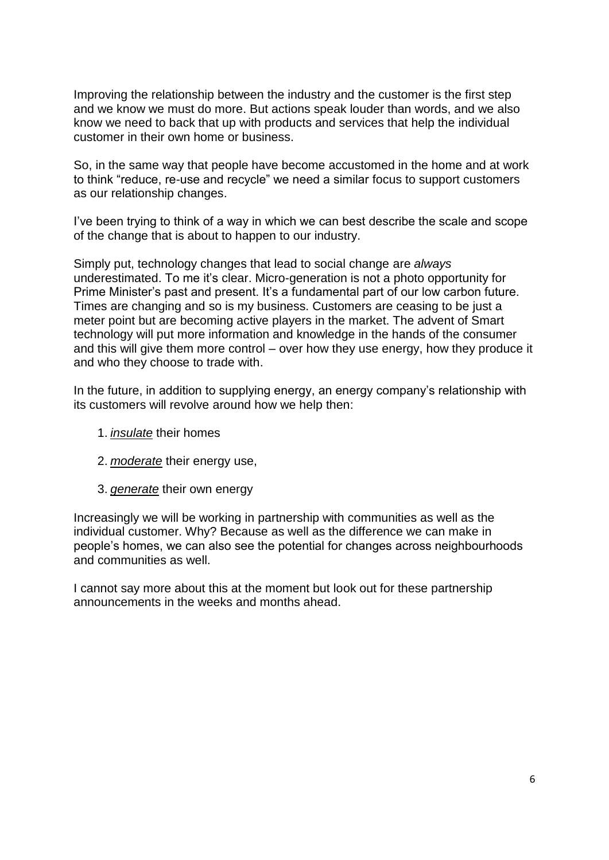Improving the relationship between the industry and the customer is the first step and we know we must do more. But actions speak louder than words, and we also know we need to back that up with products and services that help the individual customer in their own home or business.

So, in the same way that people have become accustomed in the home and at work to think "reduce, re-use and recycle" we need a similar focus to support customers as our relationship changes.

I"ve been trying to think of a way in which we can best describe the scale and scope of the change that is about to happen to our industry.

Simply put, technology changes that lead to social change are *always* underestimated. To me it"s clear. Micro-generation is not a photo opportunity for Prime Minister's past and present. It's a fundamental part of our low carbon future. Times are changing and so is my business. Customers are ceasing to be just a meter point but are becoming active players in the market. The advent of Smart technology will put more information and knowledge in the hands of the consumer and this will give them more control – over how they use energy, how they produce it and who they choose to trade with.

In the future, in addition to supplying energy, an energy company"s relationship with its customers will revolve around how we help then:

- 1. *insulate* their homes
- 2. *moderate* their energy use,
- 3. *generate* their own energy

Increasingly we will be working in partnership with communities as well as the individual customer. Why? Because as well as the difference we can make in people"s homes, we can also see the potential for changes across neighbourhoods and communities as well.

I cannot say more about this at the moment but look out for these partnership announcements in the weeks and months ahead.